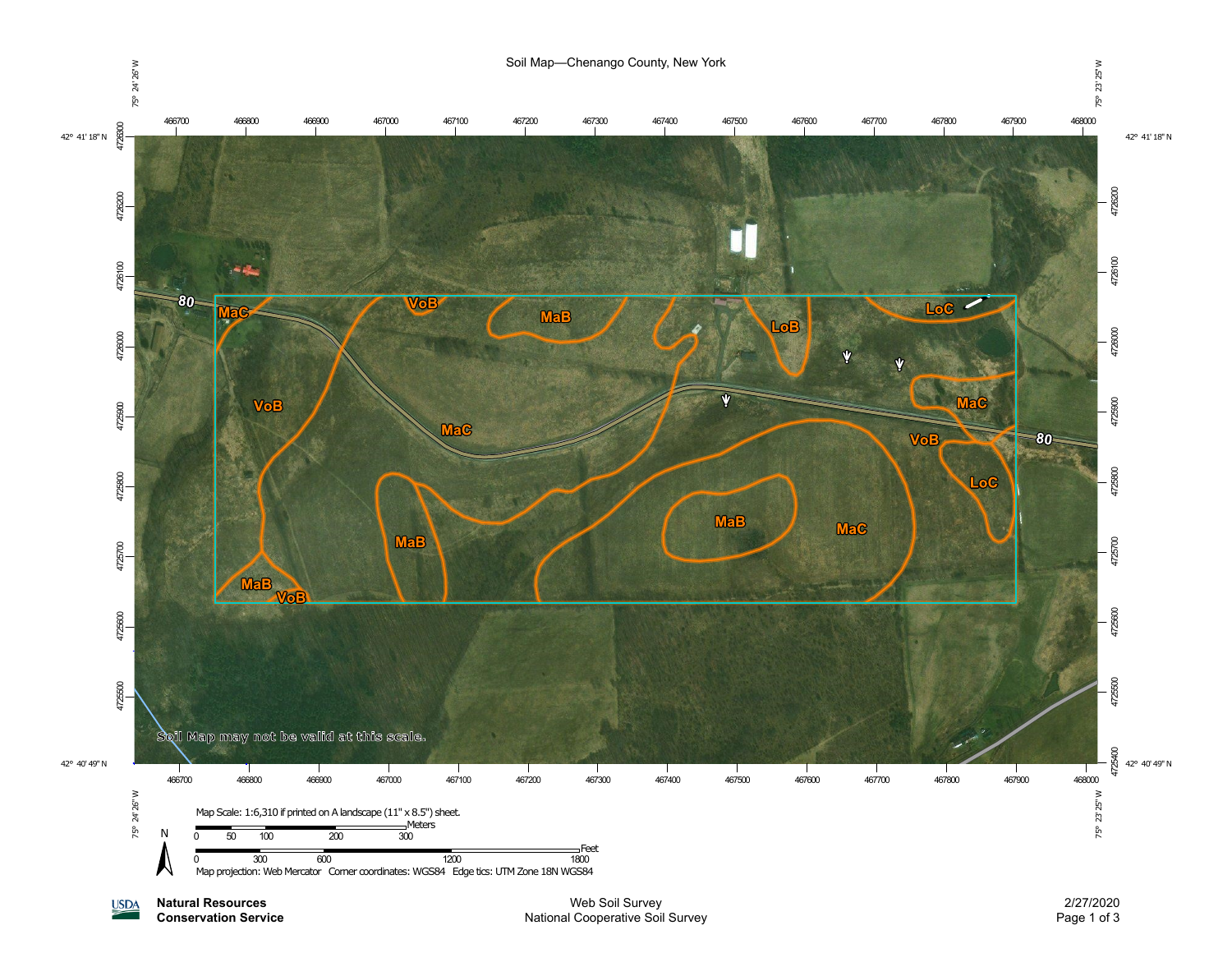

**Natural Resources USDA** 

**Conservation Service**

Web Soil Survey National Cooperative Soil Survey

2/27/2020 Page 1 of 3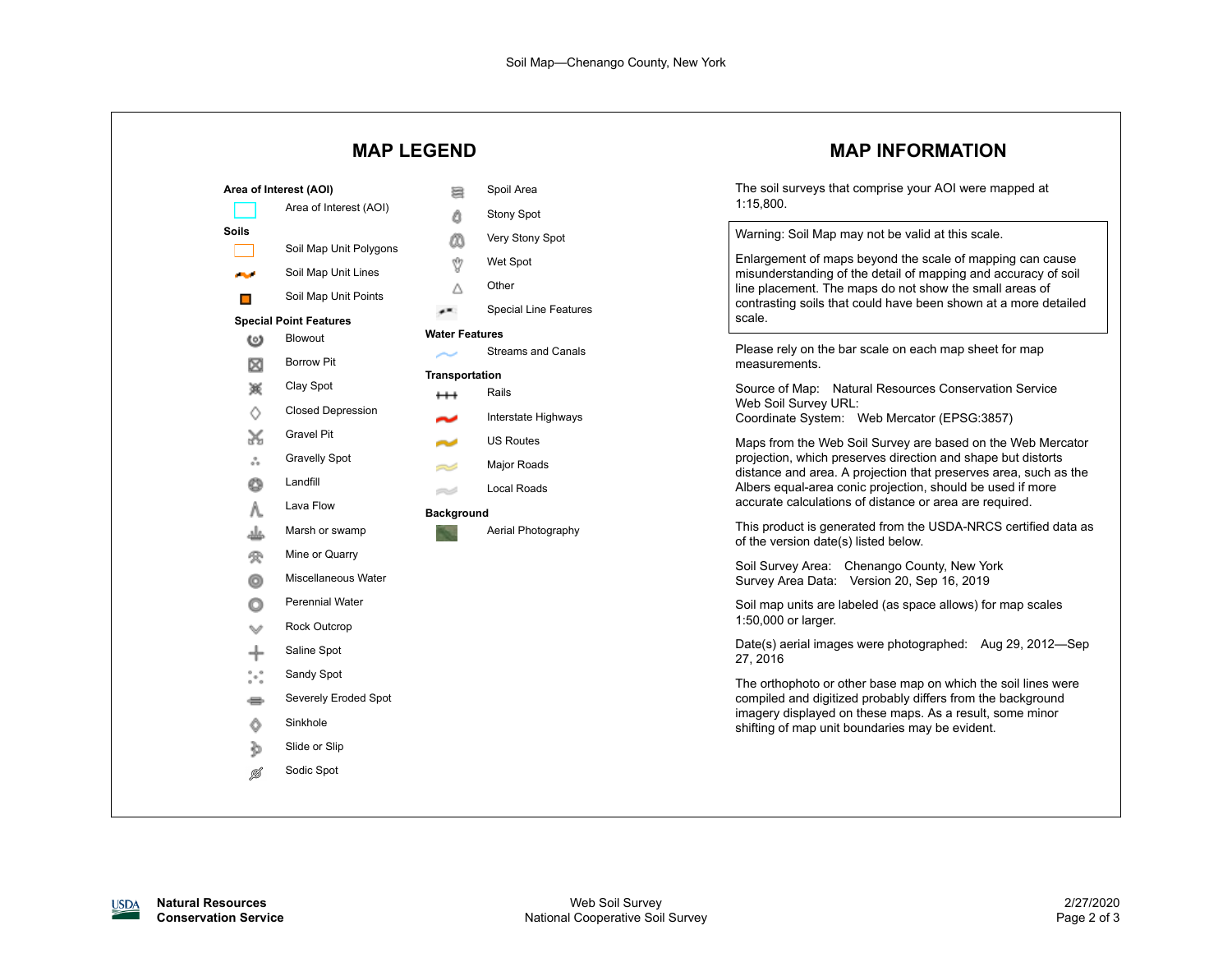